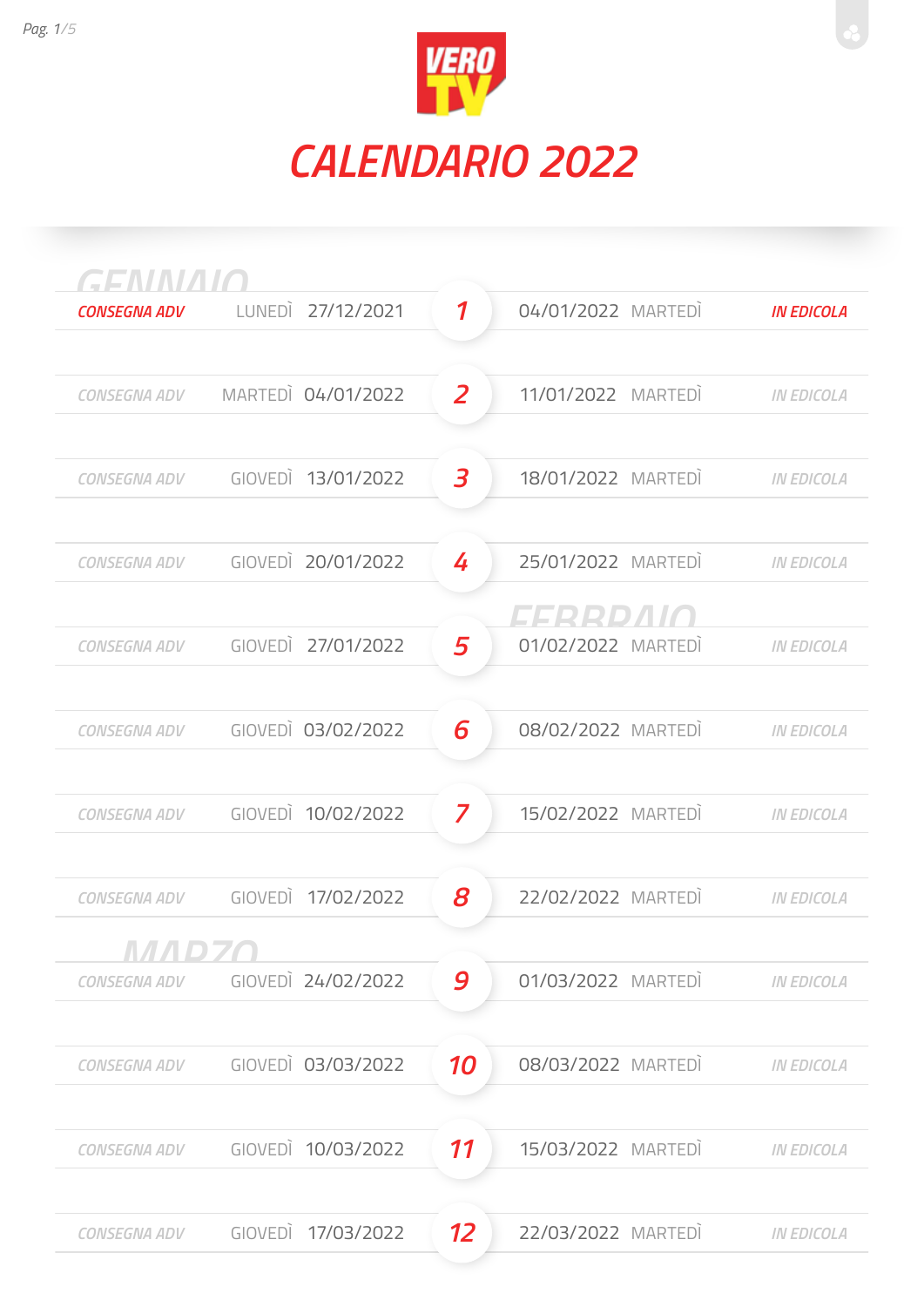

| GENNAIO             |         |                    |                            |                    |                   |
|---------------------|---------|--------------------|----------------------------|--------------------|-------------------|
| <b>CONSEGNA ADV</b> | LUNEDI  | 27/12/2021         | $\boldsymbol{\mathcal{I}}$ | 04/01/2022 MARTEDI | <b>IN EDICOLA</b> |
|                     |         |                    |                            |                    |                   |
| <b>CONSEGNA ADV</b> |         | MARTEDI 04/01/2022 | $\overline{z}$             | 11/01/2022 MARTEDI | <b>IN EDICOLA</b> |
|                     |         |                    |                            |                    |                   |
| <b>CONSEGNA ADV</b> |         | GIOVEDI 13/01/2022 | $\overline{\mathbf{3}}$    | 18/01/2022 MARTEDI | <b>IN EDICOLA</b> |
|                     |         |                    |                            |                    |                   |
| CONSEGNA ADV        |         | GIOVEDI 20/01/2022 | 4                          | 25/01/2022 MARTEDI | <b>IN EDICOLA</b> |
|                     |         |                    |                            | CCCCCCC            |                   |
| <b>CONSEGNA ADV</b> |         | GIOVEDI 27/01/2022 | 5                          | 01/02/2022 MARTEDI | <b>IN EDICOLA</b> |
|                     |         |                    |                            |                    |                   |
| <b>CONSEGNA ADV</b> |         | GIOVEDI 03/02/2022 | 6                          | 08/02/2022 MARTEDI | <b>IN EDICOLA</b> |
|                     |         |                    |                            |                    |                   |
| <b>CONSEGNA ADV</b> |         | GIOVEDI 10/02/2022 | 7                          | 15/02/2022 MARTEDI | <b>IN EDICOLA</b> |
|                     |         |                    |                            |                    |                   |
| <b>CONSEGNA ADV</b> |         | GIOVEDI 17/02/2022 | 8                          | 22/02/2022 MARTEDI | <b>IN EDICOLA</b> |
|                     |         |                    |                            |                    |                   |
| <b>CONSEGNA ADV</b> |         | GIOVEDI 24/02/2022 | 9                          | 01/03/2022 MARTEDI | <b>IN EDICOLA</b> |
|                     |         |                    |                            |                    |                   |
| <b>CONSEGNA ADV</b> |         | GIOVEDI 03/03/2022 | 10                         | 08/03/2022 MARTEDI | <b>IN EDICOLA</b> |
|                     |         |                    |                            |                    |                   |
| <b>CONSEGNA ADV</b> |         | GIOVEDI 10/03/2022 | 11                         | 15/03/2022 MARTEDI | <b>IN EDICOLA</b> |
|                     |         |                    |                            |                    |                   |
| <b>CONSEGNA ADV</b> | GIOVEDI | 17/03/2022         | 12                         | 22/03/2022 MARTEDI | <b>IN EDICOLA</b> |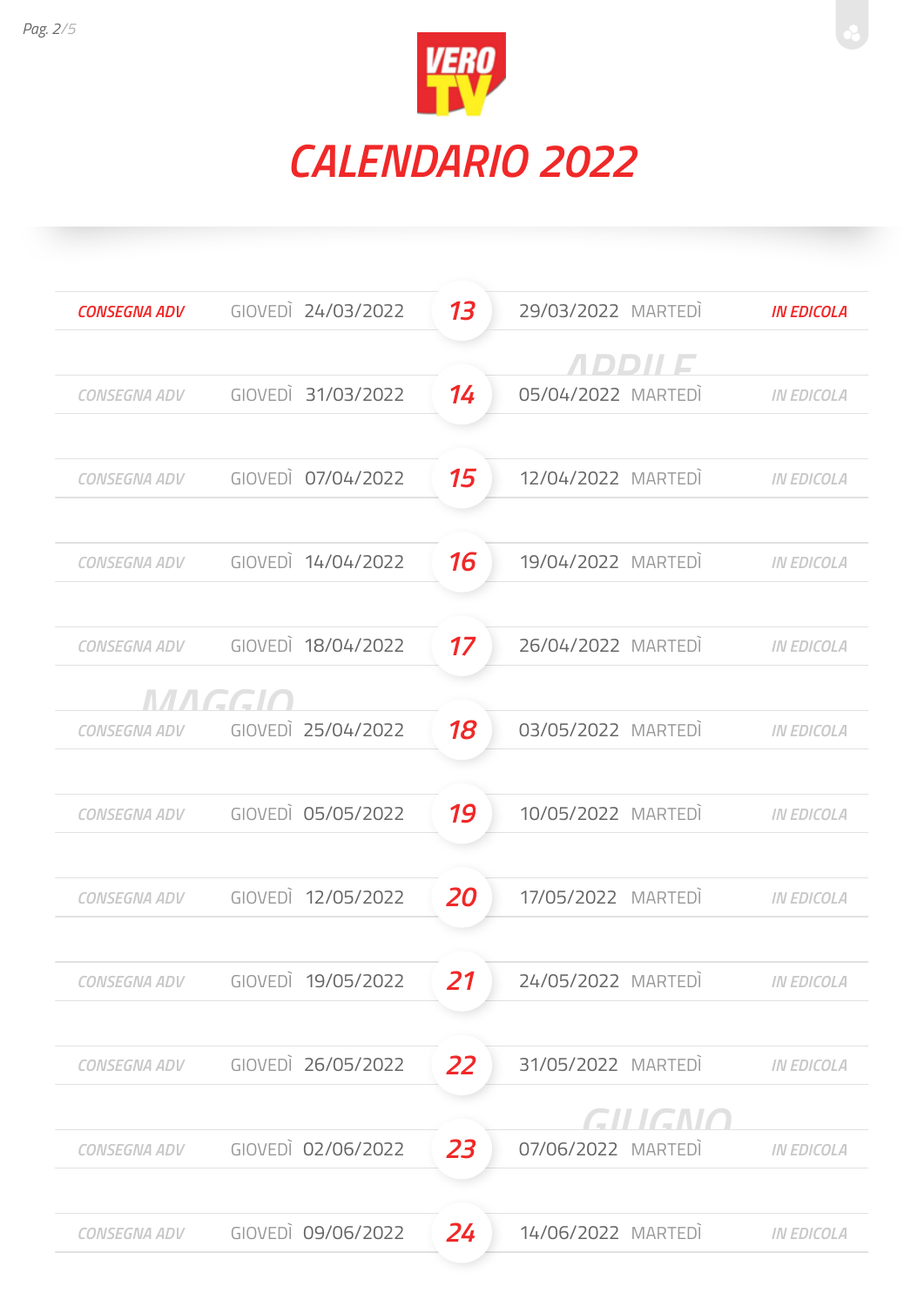



| <b>CONSEGNA ADV</b> |        | GIOVEDI 24/03/2022 | 13        | 29/03/2022 MARTEDI | <b>IN EDICOLA</b> |
|---------------------|--------|--------------------|-----------|--------------------|-------------------|
|                     |        |                    |           | <i>ADDII E</i>     |                   |
| CONSEGNA ADV        |        | GIOVEDI 31/03/2022 | 14        | 05/04/2022 MARTEDI | <b>IN EDICOLA</b> |
|                     |        |                    |           |                    |                   |
| CONSEGNA ADV        |        | GIOVEDI 07/04/2022 | 15        | 12/04/2022 MARTEDI | <b>IN EDICOLA</b> |
| <b>CONSEGNA ADV</b> |        | GIOVEDI 14/04/2022 | 16        | 19/04/2022 MARTEDI | <b>IN EDICOLA</b> |
| <b>CONSEGNA ADV</b> |        | GIOVEDI 18/04/2022 | 17        | 26/04/2022 MARTEDI | <b>IN EDICOLA</b> |
|                     | MAGGIO |                    |           |                    |                   |
| <b>CONSEGNA ADV</b> |        | GIOVEDI 25/04/2022 | 18        | 03/05/2022 MARTEDI | <b>IN EDICOLA</b> |
| <b>CONSEGNA ADV</b> |        | GIOVEDI 05/05/2022 | 19        | 10/05/2022 MARTEDI | <b>IN EDICOLA</b> |
| <b>CONSEGNA ADV</b> |        | GIOVEDI 12/05/2022 | 20        | 17/05/2022 MARTEDI | <b>IN EDICOLA</b> |
| CONSEGNA ADV        |        | GIOVEDI 19/05/2022 | 21        | 24/05/2022 MARTEDI | <b>IN EDICOLA</b> |
| <b>CONSEGNA ADV</b> |        | GIOVEDI 26/05/2022 | <b>22</b> | 31/05/2022 MARTEDI | <b>IN EDICOLA</b> |
|                     |        |                    |           | GILIGNO            |                   |
| <b>CONSEGNA ADV</b> |        | GIOVEDI 02/06/2022 | 23        | 07/06/2022 MARTEDI | <b>IN EDICOLA</b> |
| <b>CONSEGNA ADV</b> |        | GIOVEDI 09/06/2022 | 24        | 14/06/2022 MARTEDI | <b>IN EDICOLA</b> |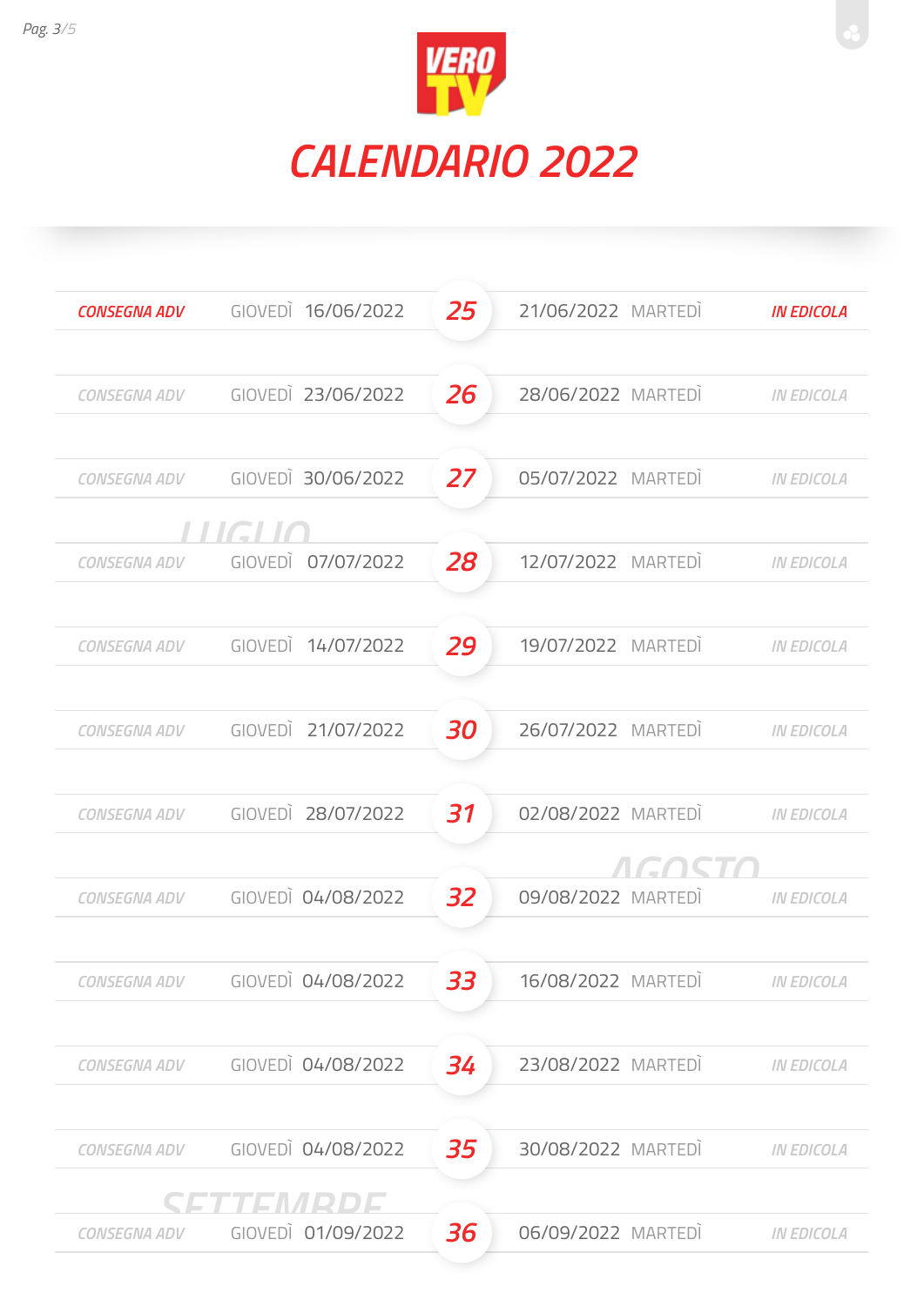



| <b>CONSEGNA ADV</b> | GIOVEDI 16/06/2022 | 25 | 21/06/2022 MARTEDI | <b>IN EDICOLA</b> |
|---------------------|--------------------|----|--------------------|-------------------|
|                     |                    |    |                    |                   |
| <b>CONSEGNA ADV</b> | GIOVEDI 23/06/2022 | 26 | 28/06/2022 MARTEDI | <b>IN EDICOLA</b> |
|                     |                    |    |                    |                   |
| CONSEGNA ADV        | GIOVEDI 30/06/2022 | 27 | 05/07/2022 MARTEDI | <b>IN EDICOLA</b> |
|                     | <i>FIJGETIC</i>    |    |                    |                   |
| <b>CONSEGNA ADV</b> | GIOVEDI 07/07/2022 | 28 | 12/07/2022 MARTEDI | <b>IN EDICOLA</b> |
|                     |                    |    |                    |                   |
| CONSEGNA ADV        | GIOVEDI 14/07/2022 | 29 | 19/07/2022 MARTEDI | <b>IN EDICOLA</b> |
|                     |                    |    |                    |                   |
| <b>CONSEGNA ADV</b> | GIOVEDI 21/07/2022 | 30 | 26/07/2022 MARTEDI | <b>IN EDICOLA</b> |
|                     |                    |    |                    |                   |
| <b>CONSEGNA ADV</b> | GIOVEDI 28/07/2022 | 31 | 02/08/2022 MARTEDI | <b>IN EDICOLA</b> |
|                     |                    |    | EAC                |                   |
| <b>CONSEGNA ADV</b> | GIOVEDI 04/08/2022 | 32 | 09/08/2022 MARTEDI | <b>IN EDICOLA</b> |
|                     |                    |    |                    |                   |
| CONSEGNA ADV        | GIOVEDI 04/08/2022 | 33 | 16/08/2022 MARTEDI | <b>IN EDICOLA</b> |
|                     |                    |    |                    |                   |
| <b>CONSEGNA ADV</b> | GIOVEDI 04/08/2022 | 34 | 23/08/2022 MARTEDI | <b>IN EDICOLA</b> |
|                     |                    |    |                    |                   |
| <b>CONSEGNA ADV</b> | GIOVEDI 04/08/2022 | 35 | 30/08/2022 MARTEDI | <b>IN EDICOLA</b> |
|                     | SETTEMRDE          | 36 |                    |                   |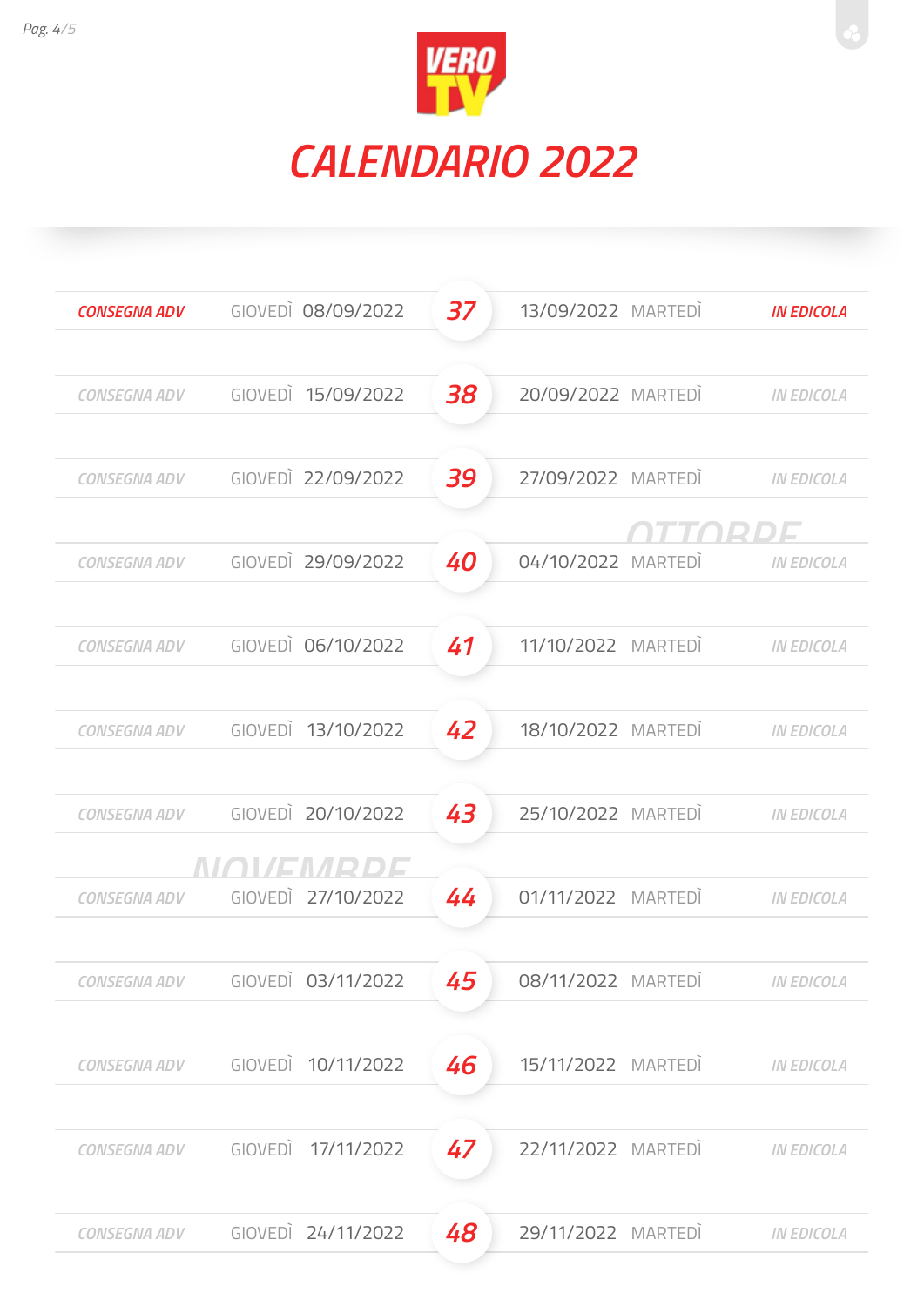



| <b>CONSEGNA ADV</b> | GIOVEDI 08/09/2022                  | 37 | 13/09/2022 MARTEDI | <b>IN EDICOLA</b> |
|---------------------|-------------------------------------|----|--------------------|-------------------|
| CONSEGNA ADV        | GIOVEDI 15/09/2022                  | 38 | 20/09/2022 MARTEDI | <b>IN EDICOLA</b> |
| CONSEGNA ADV        | GIOVEDI 22/09/2022                  | 39 | 27/09/2022 MARTEDI | <b>IN EDICOLA</b> |
| <b>CONSEGNA ADV</b> | GIOVEDI 29/09/2022                  | 40 | 04/10/2022 MARTEDI | <b>IN EDICOLA</b> |
| CONSEGNA ADV        | GIOVEDI 06/10/2022                  | 41 | 11/10/2022 MARTEDI | <b>IN EDICOLA</b> |
| <b>CONSEGNA ADV</b> | GIOVEDI 13/10/2022                  | 42 | 18/10/2022 MARTEDI | <b>IN EDICOLA</b> |
| CONSEGNA ADV        | GIOVEDI 20/10/2022                  | 43 | 25/10/2022 MARTEDI | <b>IN EDICOLA</b> |
| CONSEGNA ADV        | NIANISMIPIDIS<br>GIOVEDI 27/10/2022 | 44 | 01/11/2022 MARTEDI | <b>IN EDICOLA</b> |
| CONSEGNA ADV        | GIOVEDI 03/11/2022                  | 45 | 08/11/2022 MARTEDI | <b>IN EDICOLA</b> |
| <b>CONSEGNA ADV</b> | GIOVEDI 10/11/2022                  | 46 | 15/11/2022 MARTEDI | <b>IN EDICOLA</b> |
| <b>CONSEGNA ADV</b> | GIOVEDI 17/11/2022                  | 47 | 22/11/2022 MARTEDI | <b>IN EDICOLA</b> |
| <b>CONSEGNA ADV</b> | GIOVEDI 24/11/2022                  | 48 | 29/11/2022 MARTEDI | <b>IN EDICOLA</b> |